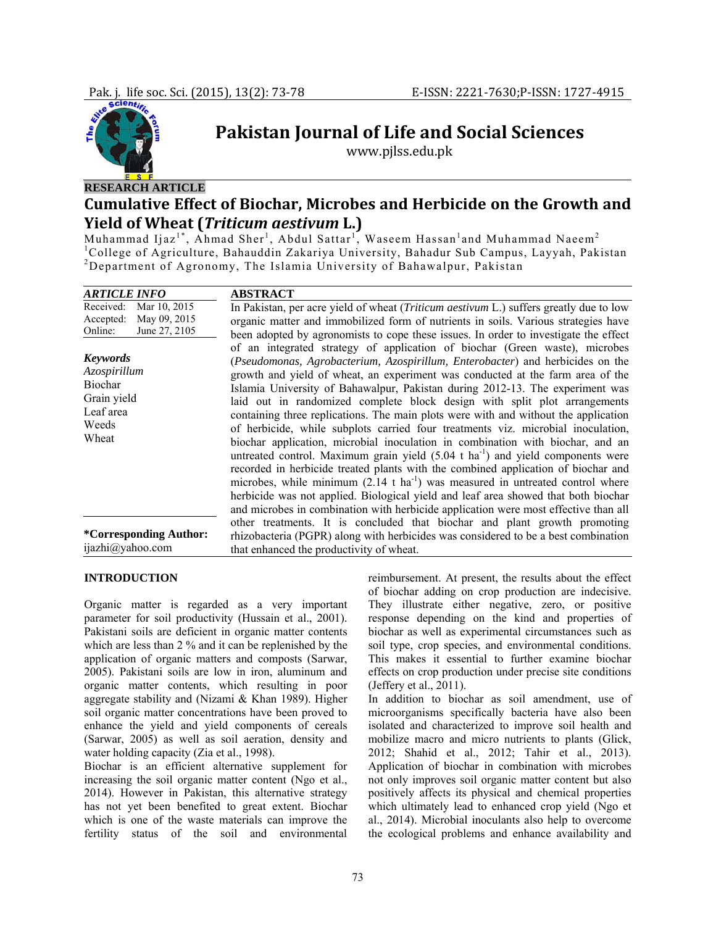

# **Pakistan Journal of Life and Social Sciences**

www.pjlss.edu.pk

## **Cumulative Effect of Biochar, Microbes and Herbicide on the Growth and Yield of Wheat (***Triticum aestivum* **L.)**

Muhammad Ijaz<sup>1\*</sup>, Ahmad Sher<sup>1</sup>, Abdul Sattar<sup>1°</sup>, Waseem Hassan<sup>1</sup>and Muhammad Naeem<sup>2</sup><br><sup>1</sup>College of Agriculture, Bahauddin Zakariya University, Bahadur Sub Campus, Layyah, Pakistan<br><sup>2</sup>Depertment of Agreeomy, The Islami <sup>2</sup>Department of Agronomy, The Islamia University of Bahawalpur, Pakistan

| <i><b>ARTICLE INFO</b></i>                                                               | <b>ABSTRACT</b>                                                                                                                                                                                                                                                                                                                                                                                                                                                                                                                                                                                                                                                                                                                                                                                                                                                                                                                                                                                                                                                                                                                           |
|------------------------------------------------------------------------------------------|-------------------------------------------------------------------------------------------------------------------------------------------------------------------------------------------------------------------------------------------------------------------------------------------------------------------------------------------------------------------------------------------------------------------------------------------------------------------------------------------------------------------------------------------------------------------------------------------------------------------------------------------------------------------------------------------------------------------------------------------------------------------------------------------------------------------------------------------------------------------------------------------------------------------------------------------------------------------------------------------------------------------------------------------------------------------------------------------------------------------------------------------|
| Received:<br>Mar 10, 2015<br>May 09, 2015<br>Accepted:<br>June 27, 2105<br>Online:       | In Pakistan, per acre yield of wheat <i>(Triticum aestivum L.)</i> suffers greatly due to low<br>organic matter and immobilized form of nutrients in soils. Various strategies have<br>been adopted by agronomists to cope these issues. In order to investigate the effect                                                                                                                                                                                                                                                                                                                                                                                                                                                                                                                                                                                                                                                                                                                                                                                                                                                               |
| <b>Keywords</b><br>Azospirillum<br>Biochar<br>Grain yield<br>Leaf area<br>Weeds<br>Wheat | of an integrated strategy of application of biochar (Green waste), microbes<br>(Pseudomonas, Agrobacterium, Azospirillum, Enterobacter) and herbicides on the<br>growth and yield of wheat, an experiment was conducted at the farm area of the<br>Islamia University of Bahawalpur, Pakistan during 2012-13. The experiment was<br>laid out in randomized complete block design with split plot arrangements<br>containing three replications. The main plots were with and without the application<br>of herbicide, while subplots carried four treatments viz. microbial inoculation,<br>biochar application, microbial inoculation in combination with biochar, and an<br>untreated control. Maximum grain yield $(5.04 \text{ t ha}^{-1})$ and yield components were<br>recorded in herbicide treated plants with the combined application of biochar and<br>microbes, while minimum $(2.14 \text{ t ha}^{-1})$ was measured in untreated control where<br>herbicide was not applied. Biological yield and leaf area showed that both biochar<br>and microbes in combination with herbicide application were most effective than all |
| <i>*Corresponding Author:</i><br>ijazhi@yahoo.com                                        | other treatments. It is concluded that biochar and plant growth promoting<br>rhizobacteria (PGPR) along with herbicides was considered to be a best combination<br>that enhanced the productivity of wheat.                                                                                                                                                                                                                                                                                                                                                                                                                                                                                                                                                                                                                                                                                                                                                                                                                                                                                                                               |

## **INTRODUCTION**

Organic matter is regarded as a very important parameter for soil productivity (Hussain et al., 2001). Pakistani soils are deficient in organic matter contents which are less than 2 % and it can be replenished by the application of organic matters and composts (Sarwar, 2005). Pakistani soils are low in iron, aluminum and organic matter contents, which resulting in poor aggregate stability and (Nizami & Khan 1989). Higher soil organic matter concentrations have been proved to enhance the yield and yield components of cereals (Sarwar, 2005) as well as soil aeration, density and water holding capacity (Zia et al., 1998).

Biochar is an efficient alternative supplement for increasing the soil organic matter content (Ngo et al., 2014). However in Pakistan, this alternative strategy has not yet been benefited to great extent. Biochar which is one of the waste materials can improve the fertility status of the soil and environmental

reimbursement. At present, the results about the effect of biochar adding on crop production are indecisive. They illustrate either negative, zero, or positive response depending on the kind and properties of biochar as well as experimental circumstances such as soil type, crop species, and environmental conditions. This makes it essential to further examine biochar effects on crop production under precise site conditions (Jeffery et al., 2011).

In addition to biochar as soil amendment, use of microorganisms specifically bacteria have also been isolated and characterized to improve soil health and mobilize macro and micro nutrients to plants (Glick, 2012; Shahid et al., 2012; Tahir et al., 2013). Application of biochar in combination with microbes not only improves soil organic matter content but also positively affects its physical and chemical properties which ultimately lead to enhanced crop yield (Ngo et al., 2014). Microbial inoculants also help to overcome the ecological problems and enhance availability and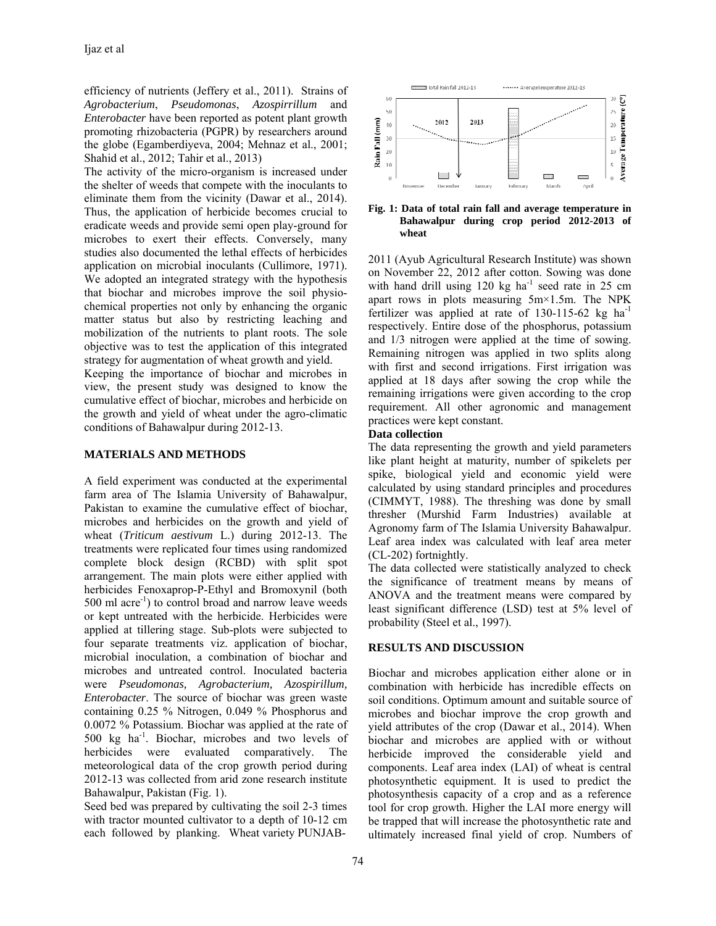efficiency of nutrients (Jeffery et al., 2011). Strains of *Agrobacterium*, *Pseudomonas*, *Azospirrillum* and *Enterobacter* have been reported as potent plant growth promoting rhizobacteria (PGPR) by researchers around the globe (Egamberdiyeva, 2004; Mehnaz et al., 2001; Shahid et al., 2012; Tahir et al., 2013)

The activity of the micro-organism is increased under the shelter of weeds that compete with the inoculants to eliminate them from the vicinity (Dawar et al., 2014). Thus, the application of herbicide becomes crucial to eradicate weeds and provide semi open play-ground for microbes to exert their effects. Conversely, many studies also documented the lethal effects of herbicides application on microbial inoculants (Cullimore, 1971). We adopted an integrated strategy with the hypothesis that biochar and microbes improve the soil physiochemical properties not only by enhancing the organic matter status but also by restricting leaching and mobilization of the nutrients to plant roots. The sole objective was to test the application of this integrated strategy for augmentation of wheat growth and yield.

Keeping the importance of biochar and microbes in view, the present study was designed to know the cumulative effect of biochar, microbes and herbicide on the growth and yield of wheat under the agro-climatic conditions of Bahawalpur during 2012-13.

## **MATERIALS AND METHODS**

A field experiment was conducted at the experimental farm area of The Islamia University of Bahawalpur, Pakistan to examine the cumulative effect of biochar, microbes and herbicides on the growth and yield of wheat (*Triticum aestivum* L.) during 2012-13. The treatments were replicated four times using randomized complete block design (RCBD) with split spot arrangement. The main plots were either applied with herbicides Fenoxaprop-P-Ethyl and Bromoxynil (both 500 ml acre<sup>-1</sup>) to control broad and narrow leave weeds or kept untreated with the herbicide. Herbicides were applied at tillering stage. Sub-plots were subjected to four separate treatments viz. application of biochar, microbial inoculation, a combination of biochar and microbes and untreated control. Inoculated bacteria were *Pseudomonas, Agrobacterium, Azospirillum, Enterobacter*. The source of biochar was green waste containing 0.25 % Nitrogen, 0.049 % Phosphorus and 0.0072 % Potassium. Biochar was applied at the rate of 500 kg ha-1. Biochar, microbes and two levels of herbicides were evaluated comparatively. The meteorological data of the crop growth period during 2012-13 was collected from arid zone research institute Bahawalpur, Pakistan (Fig. 1).

Seed bed was prepared by cultivating the soil 2-3 times with tractor mounted cultivator to a depth of 10-12 cm each followed by planking. Wheat variety PUNJAB-



**Fig. 1: Data of total rain fall and average temperature in Bahawalpur during crop period 2012-2013 of wheat**

2011 (Ayub Agricultural Research Institute) was shown on November 22, 2012 after cotton. Sowing was done with hand drill using  $120 \text{ kg}$  ha<sup>-1</sup> seed rate in 25 cm apart rows in plots measuring 5m×1.5m. The NPK fertilizer was applied at rate of  $130-115-62$  kg ha<sup>-1</sup> respectively. Entire dose of the phosphorus, potassium and 1/3 nitrogen were applied at the time of sowing. Remaining nitrogen was applied in two splits along with first and second irrigations. First irrigation was applied at 18 days after sowing the crop while the remaining irrigations were given according to the crop requirement. All other agronomic and management practices were kept constant.

## **Data collection**

The data representing the growth and yield parameters like plant height at maturity, number of spikelets per spike, biological yield and economic yield were calculated by using standard principles and procedures (CIMMYT, 1988). The threshing was done by small thresher (Murshid Farm Industries) available at Agronomy farm of The Islamia University Bahawalpur. Leaf area index was calculated with leaf area meter (CL-202) fortnightly.

The data collected were statistically analyzed to check the significance of treatment means by means of ANOVA and the treatment means were compared by least significant difference (LSD) test at 5% level of probability (Steel et al., 1997).

## **RESULTS AND DISCUSSION**

Biochar and microbes application either alone or in combination with herbicide has incredible effects on soil conditions. Optimum amount and suitable source of microbes and biochar improve the crop growth and yield attributes of the crop (Dawar et al., 2014). When biochar and microbes are applied with or without herbicide improved the considerable yield and components. Leaf area index (LAI) of wheat is central photosynthetic equipment. It is used to predict the photosynthesis capacity of a crop and as a reference tool for crop growth. Higher the LAI more energy will be trapped that will increase the photosynthetic rate and ultimately increased final yield of crop. Numbers of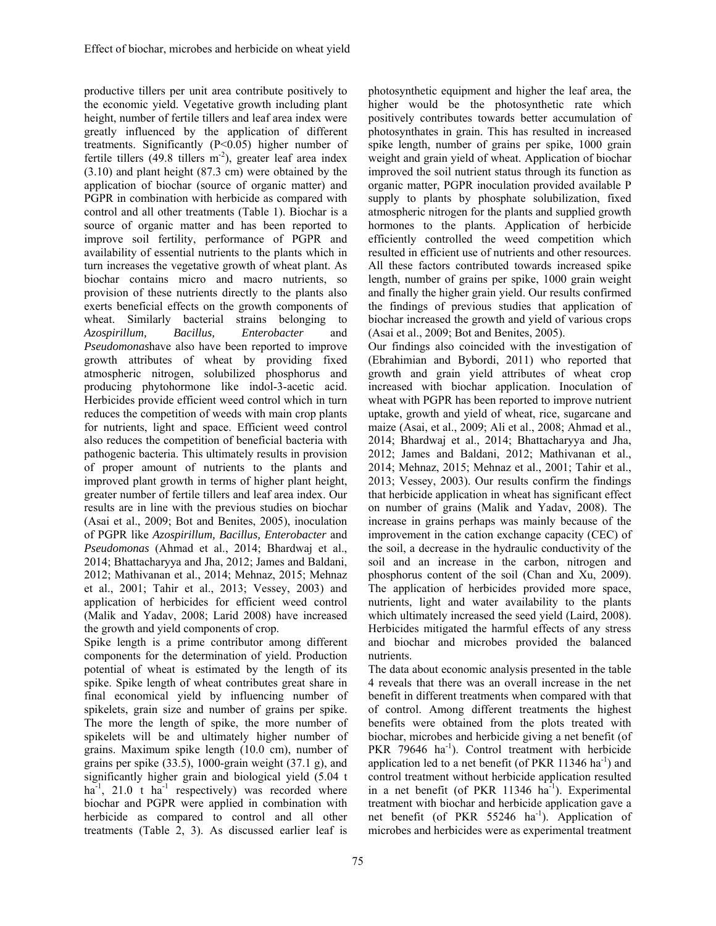productive tillers per unit area contribute positively to the economic yield. Vegetative growth including plant height, number of fertile tillers and leaf area index were greatly influenced by the application of different treatments. Significantly (P<0.05) higher number of fertile tillers (49.8 tillers  $m<sup>-2</sup>$ ), greater leaf area index (3.10) and plant height (87.3 cm) were obtained by the application of biochar (source of organic matter) and PGPR in combination with herbicide as compared with control and all other treatments (Table 1). Biochar is a source of organic matter and has been reported to improve soil fertility, performance of PGPR and availability of essential nutrients to the plants which in turn increases the vegetative growth of wheat plant. As biochar contains micro and macro nutrients, so provision of these nutrients directly to the plants also exerts beneficial effects on the growth components of wheat. Similarly bacterial strains belonging to *Azospirillum, Bacillus, Enterobacter* and *Pseudomonas*have also have been reported to improve growth attributes of wheat by providing fixed atmospheric nitrogen, solubilized phosphorus and producing phytohormone like indol-3-acetic acid. Herbicides provide efficient weed control which in turn reduces the competition of weeds with main crop plants for nutrients, light and space. Efficient weed control also reduces the competition of beneficial bacteria with pathogenic bacteria. This ultimately results in provision of proper amount of nutrients to the plants and improved plant growth in terms of higher plant height, greater number of fertile tillers and leaf area index. Our results are in line with the previous studies on biochar (Asai et al., 2009; Bot and Benites, 2005), inoculation of PGPR like *Azospirillum, Bacillus, Enterobacter* and *Pseudomonas* (Ahmad et al., 2014; Bhardwaj et al., 2014; Bhattacharyya and Jha, 2012; James and Baldani, 2012; Mathivanan et al., 2014; Mehnaz, 2015; Mehnaz et al., 2001; Tahir et al., 2013; Vessey, 2003) and application of herbicides for efficient weed control (Malik and Yadav, 2008; Larid 2008) have increased the growth and yield components of crop.

Spike length is a prime contributor among different components for the determination of yield. Production potential of wheat is estimated by the length of its spike. Spike length of wheat contributes great share in final economical yield by influencing number of spikelets, grain size and number of grains per spike. The more the length of spike, the more number of spikelets will be and ultimately higher number of grains. Maximum spike length (10.0 cm), number of grains per spike (33.5), 1000-grain weight (37.1 g), and significantly higher grain and biological yield (5.04 t ha<sup>-1</sup>, 21.0 t ha<sup>-1</sup> respectively) was recorded where biochar and PGPR were applied in combination with herbicide as compared to control and all other treatments (Table 2, 3). As discussed earlier leaf is

photosynthetic equipment and higher the leaf area, the higher would be the photosynthetic rate which positively contributes towards better accumulation of photosynthates in grain. This has resulted in increased spike length, number of grains per spike, 1000 grain weight and grain yield of wheat. Application of biochar improved the soil nutrient status through its function as organic matter, PGPR inoculation provided available P supply to plants by phosphate solubilization, fixed atmospheric nitrogen for the plants and supplied growth hormones to the plants. Application of herbicide efficiently controlled the weed competition which resulted in efficient use of nutrients and other resources. All these factors contributed towards increased spike length, number of grains per spike, 1000 grain weight and finally the higher grain yield. Our results confirmed the findings of previous studies that application of biochar increased the growth and yield of various crops (Asai et al., 2009; Bot and Benites, 2005).

Our findings also coincided with the investigation of (Ebrahimian and Bybordi, 2011) who reported that growth and grain yield attributes of wheat crop increased with biochar application. Inoculation of wheat with PGPR has been reported to improve nutrient uptake, growth and yield of wheat, rice, sugarcane and maize (Asai, et al., 2009; Ali et al., 2008; Ahmad et al., 2014; Bhardwaj et al., 2014; Bhattacharyya and Jha, 2012; James and Baldani, 2012; Mathivanan et al., 2014; Mehnaz, 2015; Mehnaz et al., 2001; Tahir et al., 2013; Vessey, 2003). Our results confirm the findings that herbicide application in wheat has significant effect on number of grains (Malik and Yadav, 2008). The increase in grains perhaps was mainly because of the improvement in the cation exchange capacity (CEC) of the soil, a decrease in the hydraulic conductivity of the soil and an increase in the carbon, nitrogen and phosphorus content of the soil (Chan and Xu, 2009). The application of herbicides provided more space, nutrients, light and water availability to the plants which ultimately increased the seed yield (Laird, 2008). Herbicides mitigated the harmful effects of any stress and biochar and microbes provided the balanced nutrients.

The data about economic analysis presented in the table 4 reveals that there was an overall increase in the net benefit in different treatments when compared with that of control. Among different treatments the highest benefits were obtained from the plots treated with biochar, microbes and herbicide giving a net benefit (of PKR 79646 ha<sup>-1</sup>). Control treatment with herbicide application led to a net benefit (of PKR  $11346$  ha<sup>-1</sup>) and control treatment without herbicide application resulted in a net benefit (of PKR  $11346$  ha<sup>-1</sup>). Experimental treatment with biochar and herbicide application gave a net benefit (of PKR 55246 ha<sup>-1</sup>). Application of microbes and herbicides were as experimental treatment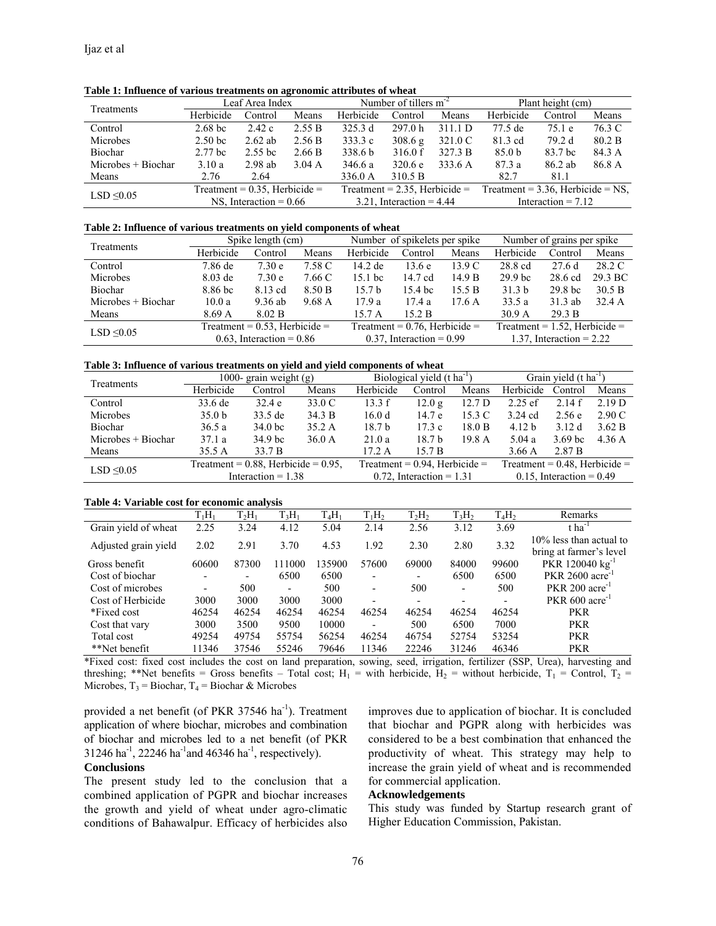| Treatments           | Leaf Area Index                  |           |        |           | Number of tillers $m-2$          |         | Plant height (cm)                    |         |        |  |
|----------------------|----------------------------------|-----------|--------|-----------|----------------------------------|---------|--------------------------------------|---------|--------|--|
|                      | Herbicide                        | Control   | Means  | Herbicide | Control                          | Means   | Herbicide                            | Control | Means  |  |
| Control              | $2.68$ bc                        | 2.42c     | 2.55 B | 325.3 d   | 297.0 h                          | 311.1 D | 77.5 de                              | 75.1 e  | 76.3 C |  |
| Microbes             | 2.50 <sub>bc</sub>               | $2.62$ ab | 2.56 B | 333.3 c   | 308.6 g                          | 321.0 C | 81.3 cd                              | 79.2 d  | 80.2 B |  |
| Biochar              | 2.77 <sub>bc</sub>               | $2.55$ bc | 2.66 B | 338.6 b   | 316.0 f                          | 327.3 B | 85.0 <sub>b</sub>                    | 83.7 bc | 84.3 A |  |
| $Microbes + Biochar$ | 3.10a                            | $2.98$ ab | 3.04 A | 346.6 a   | 320.6 e                          | 333.6 A | 87.3a                                | 86.2 ab | 86.8 A |  |
| Means                | 2.76                             | 2.64      |        | 336.0 A   | 310.5 B                          |         | 82.7                                 | 81.1    |        |  |
| $LSD \leq 0.05$      | Treatment = $0.35$ , Herbicide = |           |        |           | Treatment = $2.35$ , Herbicide = |         | Treatment = $3.36$ , Herbicide = NS, |         |        |  |
|                      | NS, Interaction = $0.66$         |           |        |           | $3.21$ , Interaction = 4.44      |         | Interaction $= 7.12$                 |         |        |  |

**Table 1: Influence of various treatments on agronomic attributes of wheat** 

#### **Table 2: Influence of various treatments on yield components of wheat**

| Treatments         |                                  | Spike length (cm) |        |                                  | Number of spikelets per spike |        | Number of grains per spike       |                    |         |
|--------------------|----------------------------------|-------------------|--------|----------------------------------|-------------------------------|--------|----------------------------------|--------------------|---------|
|                    | Herbicide                        | Control           | Means  | Herbicide                        | Control                       | Means  | Herbicide                        | Control            | Means   |
| Control            | 7.86 de                          | 7.30 <sub>e</sub> | 7.58 C | 14.2 de                          | 13.6e                         | 13.9 C | 28.8 cd                          | 27.6d              | 28.2 C  |
| Microbes           | $8.03$ de                        | 7.30 <sub>e</sub> | 7.66 C | $15.1$ bc                        | 14.7 cd                       | 14.9 B | 29.9 <sub>bc</sub>               | 28.6 cd            | 29.3 BC |
| Biochar            | 8.86 bc                          | 8.13 cd           | 8.50 B | 15.7 <sub>b</sub>                | 15.4 bc                       | 15.5 B | 31.3 <sub>b</sub>                | 29.8 <sub>bc</sub> | 30.5 B  |
| Microbes + Biochar | 10.0 a                           | 9.36 ab           | 9.68 A | 17.9a                            | 17.4 a                        | 17.6 A | 33.5a                            | $31.3$ ab          | 32.4A   |
| Means              | 8.69A                            | 8.02 B            |        | 15.7 A                           | 15.2 B                        |        | 30.9 <sub>A</sub>                | 29.3 B             |         |
| LSD $\leq 0.05$    | Treatment = $0.53$ , Herbicide = |                   |        | Treatment = $0.76$ , Herbicide = |                               |        | Treatment = $1.52$ , Herbicide = |                    |         |
|                    | $0.63$ , Interaction = 0.86      |                   |        | $0.37$ , Interaction = 0.99      |                               |        | 1.37, Interaction = $2.22$       |                    |         |

#### **Table 3: Influence of various treatments on yield and yield components of wheat**

| Treatments           |                                           | 1000- grain weight $(g)$ |        | Biological yield $(t \text{ ha}^{-1})$ |                                  | Grain yield $(t \text{ ha}^{-1})$ |                                  |                    |        |
|----------------------|-------------------------------------------|--------------------------|--------|----------------------------------------|----------------------------------|-----------------------------------|----------------------------------|--------------------|--------|
|                      | Herbicide                                 | Control                  | Means  | Herbicide                              | Control                          | Means                             | Herbicide                        | Control            | Means  |
| Control              | 33.6 de                                   | 32.4e                    | 33.0 C | 13.3 f                                 | 12.0 g                           | 12.7 <sub>D</sub>                 | $2.25$ ef                        | 2.14f              | 2.19 D |
| Microbes             | 35.0 <sub>b</sub>                         | 33.5 de                  | 34.3 B | 16.0d                                  | 14.7 e                           | 15.3 C                            | $3.24$ cd                        | 2.56e              | 2.90 C |
| Biochar              | 36.5 a                                    | 34.0 <sub>bc</sub>       | 35.2 A | 18.7 b                                 | 17.3c                            | 18.0 B                            | 4.12 <sub>b</sub>                | 3.12d              | 3.62 B |
| $Microbes + Biochar$ | 37.1a                                     | 34.9 bc                  | 36.0 A | 21.0a                                  | 18.7 <sub>b</sub>                | 19.8 A                            | 5.04 a                           | 3.69 <sub>bc</sub> | 4.36 A |
| Means                | 35.5A                                     | 33.7 B                   |        | 17.2A                                  | 15.7 B                           |                                   | 3.66A                            | 2.87 B             |        |
| LSD $\leq 0.05$      | Treatment = $0.88$ , Herbicide = $0.95$ , |                          |        |                                        | Treatment = $0.94$ , Herbicide = |                                   | Treatment = $0.48$ , Herbicide = |                    |        |
|                      | Interaction $= 1.38$                      |                          |        |                                        | $0.72$ , Interaction = 1.31      |                                   | $0.15$ , Interaction = 0.49      |                    |        |

#### **Table 4: Variable cost for economic analysis**

|                      | $T_1H_1$                 | $T_2H_1$ | $T_3H_1$ | $T_4H_1$ | $T_1H_2$                 | $T_2H_2$                 | $T_3H_2$ | $T_4H_2$                 | Remarks                                            |
|----------------------|--------------------------|----------|----------|----------|--------------------------|--------------------------|----------|--------------------------|----------------------------------------------------|
| Grain yield of wheat | 2.25                     | 3.24     | 4.12     | 5.04     | 2.14                     | 2.56                     | 3.12     | 3.69                     | $t$ ha <sup>-1</sup>                               |
| Adjusted grain yield | 2.02                     | 2.91     | 3.70     | 4.53     | 1.92                     | 2.30                     | 2.80     | 3.32                     | 10% less than actual to<br>bring at farmer's level |
| Gross benefit        | 60600                    | 87300    | 111000   | 135900   | 57600                    | 69000                    | 84000    | 99600                    | PKR 120040 $kg^{-1}$                               |
| Cost of biochar      | $\overline{\phantom{a}}$ | -        | 6500     | 6500     | $\overline{\phantom{0}}$ | $\overline{\phantom{a}}$ | 6500     | 6500                     | PKR 2600 acre                                      |
| Cost of microbes     | $\overline{\phantom{a}}$ | 500      | -        | 500      | $\overline{\phantom{a}}$ | 500                      | ۰.       | 500                      | $PKR$ 200 acre <sup>-1</sup>                       |
| Cost of Herbicide    | 3000                     | 3000     | 3000     | 3000     | $\overline{\phantom{0}}$ | $\overline{\phantom{0}}$ |          | $\overline{\phantom{a}}$ | $PKR$ 600 acre <sup>-1</sup>                       |
| *Fixed cost          | 46254                    | 46254    | 46254    | 46254    | 46254                    | 46254                    | 46254    | 46254                    | <b>PKR</b>                                         |
| Cost that vary       | 3000                     | 3500     | 9500     | 10000    | $\blacksquare$           | 500                      | 6500     | 7000                     | <b>PKR</b>                                         |
| Total cost           | 49254                    | 49754    | 55754    | 56254    | 46254                    | 46754                    | 52754    | 53254                    | <b>PKR</b>                                         |
| **Net benefit        | 11346                    | 37546    | 55246    | 79646    | 11346                    | 22246                    | 31246    | 46346                    | <b>PKR</b>                                         |

\*Fixed cost: fixed cost includes the cost on land preparation, sowing, seed, irrigation, fertilizer (SSP, Urea), harvesting and threshing; \*\*Net benefits = Gross benefits – Total cost;  $H_1$  = with herbicide,  $H_2$  = without herbicide,  $T_1$  = Control,  $T_2$  = Microbes,  $T_3$  = Biochar,  $T_4$  = Biochar & Microbes

provided a net benefit (of PKR 37546 ha<sup>-1</sup>). Treatment application of where biochar, microbes and combination of biochar and microbes led to a net benefit (of PKR  $31246$  ha<sup>-1</sup>, 22246 ha<sup>-1</sup> and 46346 ha<sup>-1</sup>, respectively).

#### **Conclusions**

The present study led to the conclusion that a combined application of PGPR and biochar increases the growth and yield of wheat under agro-climatic conditions of Bahawalpur. Efficacy of herbicides also improves due to application of biochar. It is concluded that biochar and PGPR along with herbicides was considered to be a best combination that enhanced the productivity of wheat. This strategy may help to increase the grain yield of wheat and is recommended for commercial application.

### **Acknowledgements**

This study was funded by Startup research grant of Higher Education Commission, Pakistan.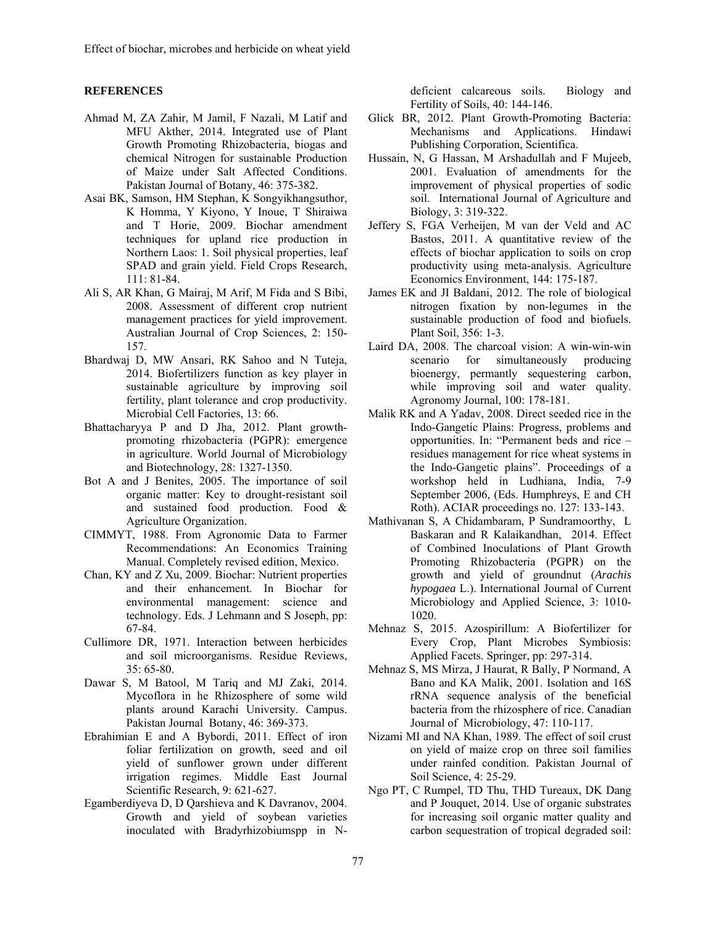## **REFERENCES**

- Ahmad M, ZA Zahir, M Jamil, F Nazali, M Latif and MFU Akther, 2014. Integrated use of Plant Growth Promoting Rhizobacteria, biogas and chemical Nitrogen for sustainable Production of Maize under Salt Affected Conditions. Pakistan Journal of Botany, 46: 375-382.
- Asai BK, Samson, HM Stephan, K Songyikhangsuthor, K Homma, Y Kiyono, Y Inoue, T Shiraiwa and T Horie, 2009. Biochar amendment techniques for upland rice production in Northern Laos: 1. Soil physical properties, leaf SPAD and grain yield. Field Crops Research, 111: 81-84.
- Ali S, AR Khan, G Mairaj, M Arif, M Fida and S Bibi, 2008. Assessment of different crop nutrient management practices for yield improvement. Australian Journal of Crop Sciences, 2: 150- 157.
- Bhardwaj D, MW Ansari, RK Sahoo and N Tuteja, 2014. Biofertilizers function as key player in sustainable agriculture by improving soil fertility, plant tolerance and crop productivity. Microbial Cell Factories, 13: 66.
- Bhattacharyya P and D Jha, 2012. Plant growthpromoting rhizobacteria (PGPR): emergence in agriculture. World Journal of Microbiology and Biotechnology, 28: 1327-1350.
- Bot A and J Benites, 2005. The importance of soil organic matter: Key to drought-resistant soil and sustained food production. Food & Agriculture Organization.
- CIMMYT, 1988. From Agronomic Data to Farmer Recommendations: An Economics Training Manual. Completely revised edition, Mexico.
- Chan, KY and Z Xu, 2009. Biochar: Nutrient properties and their enhancement. In Biochar for environmental management: science and technology. Eds. J Lehmann and S Joseph, pp: 67-84.
- Cullimore DR, 1971. Interaction between herbicides and soil microorganisms. Residue Reviews, 35: 65-80.
- Dawar S, M Batool, M Tariq and MJ Zaki, 2014. Mycoflora in he Rhizosphere of some wild plants around Karachi University. Campus. Pakistan Journal Botany, 46: 369-373.
- Ebrahimian E and A Bybordi, 2011. Effect of iron foliar fertilization on growth, seed and oil yield of sunflower grown under different irrigation regimes. Middle East Journal Scientific Research, 9: 621-627.
- Egamberdiyeva D, D Qarshieva and K Davranov, 2004. Growth and yield of soybean varieties inoculated with Bradyrhizobiumspp in N-

deficient calcareous soils. Biology and Fertility of Soils, 40: 144-146.

- Glick BR, 2012. Plant Growth-Promoting Bacteria: Mechanisms and Applications. Hindawi Publishing Corporation, Scientifica.
- Hussain, N, G Hassan, M Arshadullah and F Mujeeb, 2001. Evaluation of amendments for the improvement of physical properties of sodic soil. International Journal of Agriculture and Biology, 3: 319-322.
- Jeffery S, FGA Verheijen, M van der Veld and AC Bastos, 2011. A quantitative review of the effects of biochar application to soils on crop productivity using meta-analysis. Agriculture Economics Environment, 144: 175-187.
- James EK and JI Baldani, 2012. The role of biological nitrogen fixation by non-legumes in the sustainable production of food and biofuels. Plant Soil, 356: 1-3.
- Laird DA, 2008. The charcoal vision: A win-win-win scenario for simultaneously producing bioenergy, permantly sequestering carbon, while improving soil and water quality. Agronomy Journal, 100: 178-181.
- Malik RK and A Yadav, 2008. Direct seeded rice in the Indo-Gangetic Plains: Progress, problems and opportunities. In: "Permanent beds and rice – residues management for rice wheat systems in the Indo-Gangetic plains". Proceedings of a workshop held in Ludhiana, India, 7-9 September 2006, (Eds. Humphreys, E and CH Roth). ACIAR proceedings no. 127: 133-143.
- Mathivanan S, A Chidambaram, P Sundramoorthy, L Baskaran and R Kalaikandhan, 2014. Effect of Combined Inoculations of Plant Growth Promoting Rhizobacteria (PGPR) on the growth and yield of groundnut (*Arachis hypogaea* L.). International Journal of Current Microbiology and Applied Science, 3: 1010- 1020.
- Mehnaz S, 2015. Azospirillum: A Biofertilizer for Every Crop, Plant Microbes Symbiosis: Applied Facets. Springer, pp: 297-314.
- Mehnaz S, MS Mirza, J Haurat, R Bally, P Normand, A Bano and KA Malik, 2001. Isolation and 16S rRNA sequence analysis of the beneficial bacteria from the rhizosphere of rice. Canadian Journal of Microbiology, 47: 110-117.
- Nizami MI and NA Khan, 1989. The effect of soil crust on yield of maize crop on three soil families under rainfed condition. Pakistan Journal of Soil Science, 4: 25-29.
- Ngo PT, C Rumpel, TD Thu, THD Tureaux, DK Dang and P Jouquet, 2014. Use of organic substrates for increasing soil organic matter quality and carbon sequestration of tropical degraded soil: